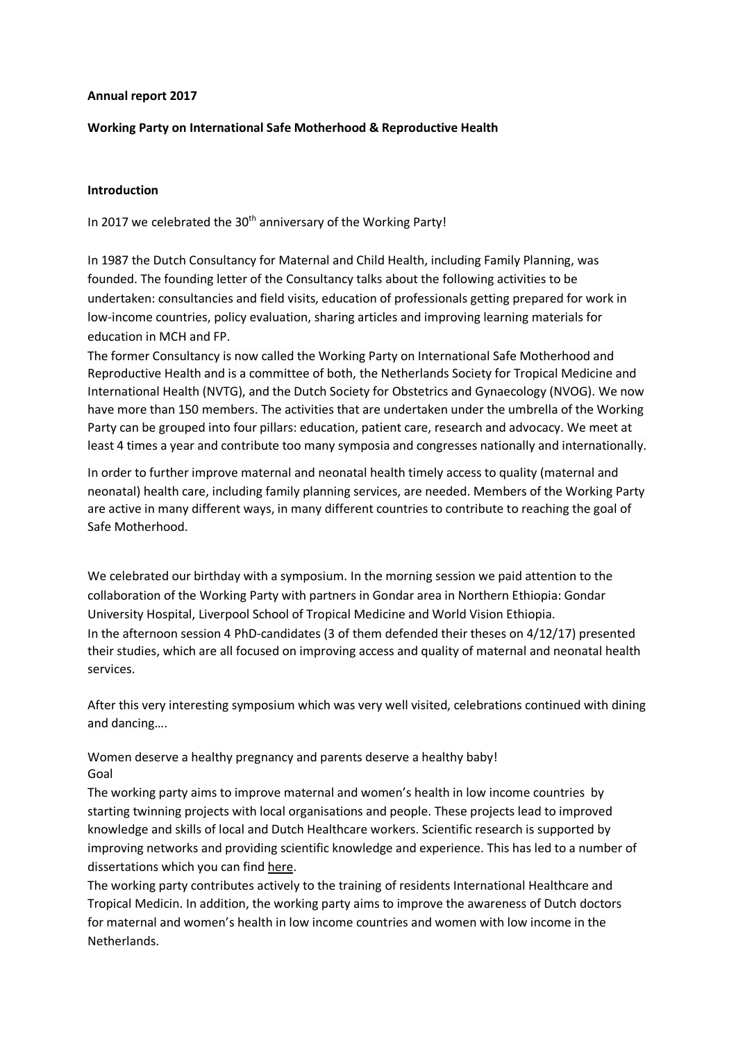#### **Annual report 2017**

### **Working Party on International Safe Motherhood & Reproductive Health**

#### **Introduction**

In 2017 we celebrated the 30<sup>th</sup> anniversary of the Working Party!

In 1987 the Dutch Consultancy for Maternal and Child Health, including Family Planning, was founded. The founding letter of the Consultancy talks about the following activities to be undertaken: consultancies and field visits, education of professionals getting prepared for work in low-income countries, policy evaluation, sharing articles and improving learning materials for education in MCH and FP.

The former Consultancy is now called the Working Party on International Safe Motherhood and Reproductive Health and is a committee of both, the Netherlands Society for Tropical Medicine and International Health (NVTG), and the Dutch Society for Obstetrics and Gynaecology (NVOG). We now have more than 150 members. The activities that are undertaken under the umbrella of the Working Party can be grouped into four pillars: education, patient care, research and advocacy. We meet at least 4 times a year and contribute too many symposia and congresses nationally and internationally.

In order to further improve maternal and neonatal health timely access to quality (maternal and neonatal) health care, including family planning services, are needed. Members of the Working Party are active in many different ways, in many different countries to contribute to reaching the goal of Safe Motherhood.

We celebrated our birthday with a symposium. In the morning session we paid attention to the collaboration of the Working Party with partners in Gondar area in Northern Ethiopia: Gondar University Hospital, Liverpool School of Tropical Medicine and World Vision Ethiopia. In the afternoon session 4 PhD-candidates (3 of them defended their theses on 4/12/17) presented their studies, which are all focused on improving access and quality of maternal and neonatal health services.

After this very interesting symposium which was very well visited, celebrations continued with dining and dancing….

Women deserve a healthy pregnancy and parents deserve a healthy baby! Goal

The working party aims to improve maternal and women's health in low income countries by starting twinning projects with local organisations and people. These projects lead to improved knowledge and skills of local and Dutch Healthcare workers. Scientific research is supported by improving networks and providing scientific knowledge and experience. This has led to a number of dissertations which you can find here.

The working party contributes actively to the training of residents International Healthcare and Tropical Medicin. In addition, the working party aims to improve the awareness of Dutch doctors for maternal and women's health in low income countries and women with low income in the Netherlands.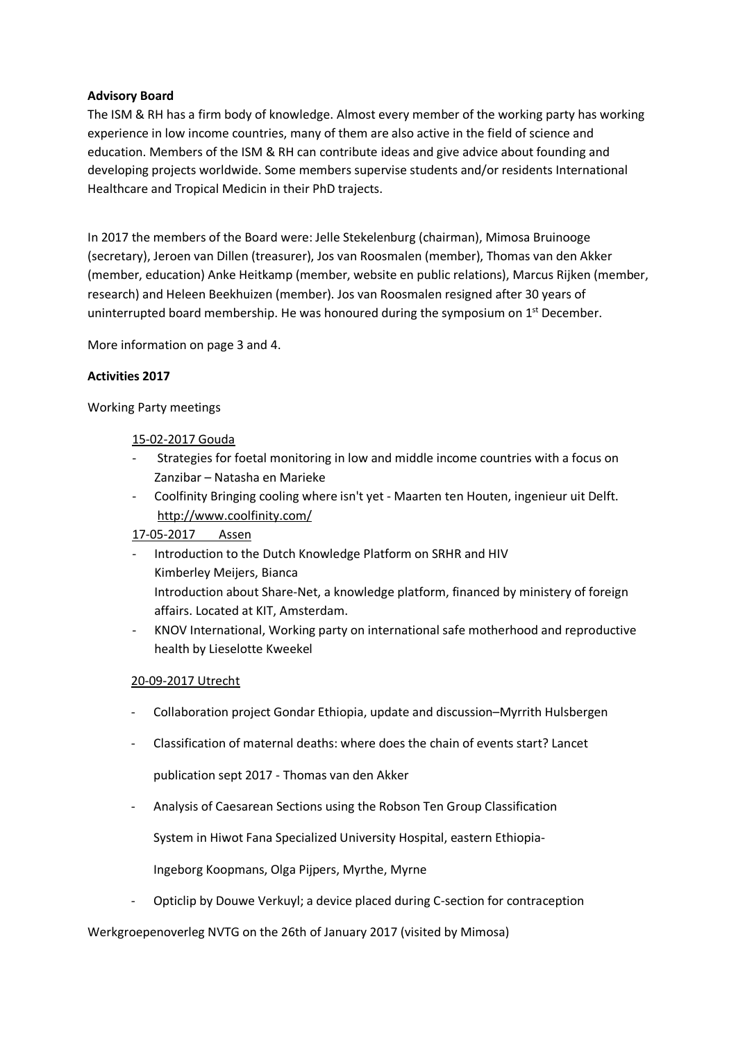## **Advisory Board**

The ISM & RH has a firm body of knowledge. Almost every member of the working party has working experience in low income countries, many of them are also active in the field of science and education. Members of the ISM & RH can contribute ideas and give advice about founding and developing projects worldwide. Some members supervise students and/or residents International Healthcare and Tropical Medicin in their PhD trajects.

In 2017 the members of the Board were: Jelle Stekelenburg (chairman), Mimosa Bruinooge (secretary), Jeroen van Dillen (treasurer), Jos van Roosmalen (member), Thomas van den Akker (member, education) Anke Heitkamp (member, website en public relations), Marcus Rijken (member, research) and Heleen Beekhuizen (member). Jos van Roosmalen resigned after 30 years of uninterrupted board membership. He was honoured during the symposium on  $1<sup>st</sup>$  December.

More information on page 3 and 4.

## **Activities 2017**

Working Party meetings

## 15-02-2017 Gouda

- Strategies for foetal monitoring in low and middle income countries with a focus on Zanzibar – Natasha en Marieke
- Coolfinity Bringing cooling where isn't yet Maarten ten Houten, ingenieur uit Delft. http://www.coolfinity.com/

# 17-05-2017 Assen

- Introduction to the Dutch Knowledge Platform on SRHR and HIV Kimberley Meijers, Bianca Introduction about Share-Net, a knowledge platform, financed by ministery of foreign affairs. Located at KIT, Amsterdam.
- KNOV International, Working party on international safe motherhood and reproductive health by Lieselotte Kweekel

# 20-09-2017 Utrecht

- Collaboration project Gondar Ethiopia, update and discussion–Myrrith Hulsbergen
- Classification of maternal deaths: where does the chain of events start? Lancet

publication sept 2017 - Thomas van den Akker

- Analysis of Caesarean Sections using the Robson Ten Group Classification

System in Hiwot Fana Specialized University Hospital, eastern Ethiopia-

Ingeborg Koopmans, Olga Pijpers, Myrthe, Myrne

- Opticlip by Douwe Verkuyl; a device placed during C-section for contraception

### Werkgroepenoverleg NVTG on the 26th of January 2017 (visited by Mimosa)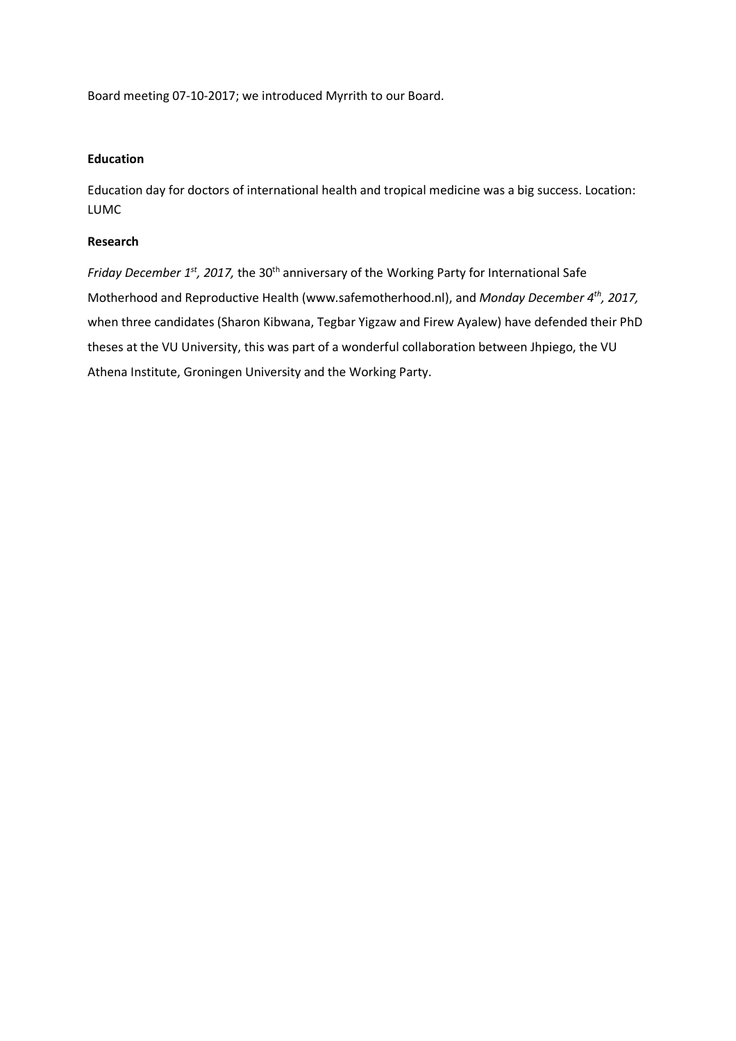Board meeting 07-10-2017; we introduced Myrrith to our Board.

## **Education**

Education day for doctors of international health and tropical medicine was a big success. Location: LUMC

### **Research**

*Friday December 1st, 2017, the 30<sup>th</sup> anniversary of the Working Party for International Safe* Motherhood and Reproductive Health (www.safemotherhood.nl), and *Monday December 4th, 2017,* when three candidates (Sharon Kibwana, Tegbar Yigzaw and Firew Ayalew) have defended their PhD theses at the VU University, this was part of a wonderful collaboration between Jhpiego, the VU Athena Institute, Groningen University and the Working Party.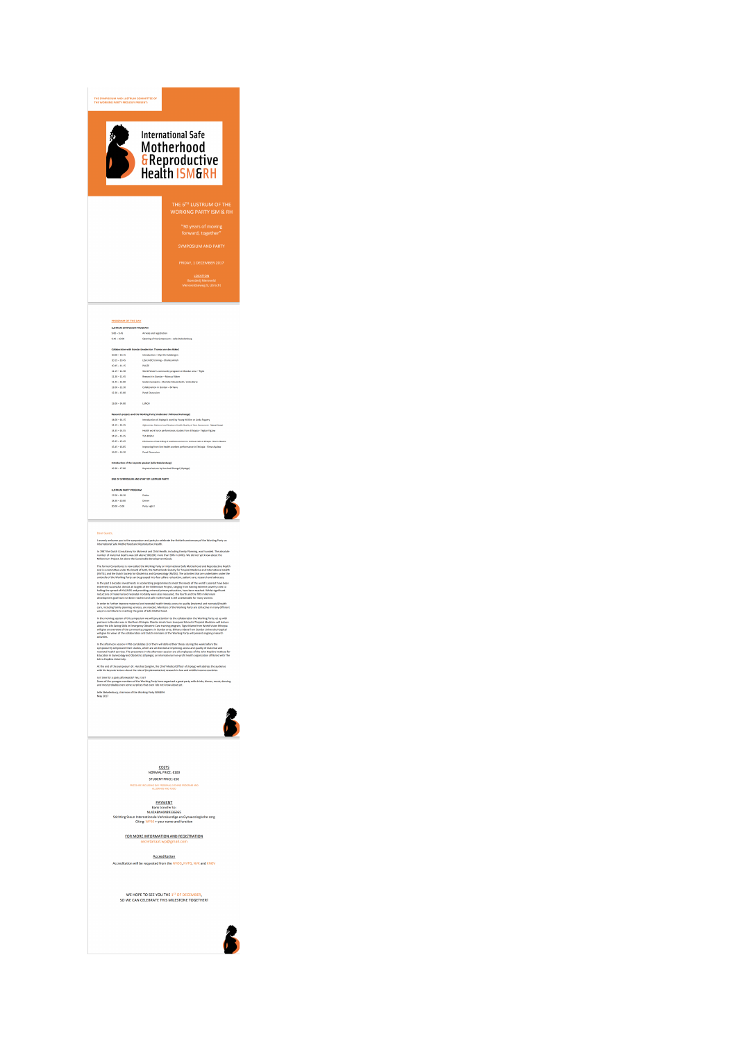